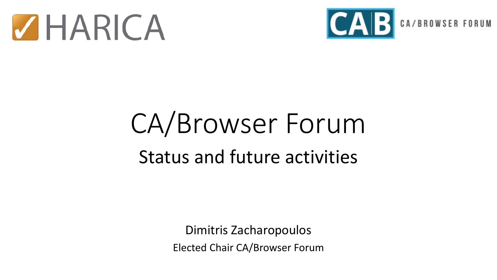



# CA/Browser Forum Status and future activities

Dimitris Zacharopoulos Elected Chair CA/Browser Forum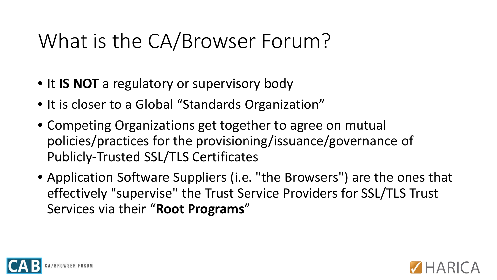# What is the CA/Browser Forum?

- It **IS NOT** a regulatory or supervisory body
- It is closer to a Global "Standards Organization"
- Competing Organizations get together to agree on mutual policies/practices for the provisioning/issuance/governance of Publicly-Trusted SSL/TLS Certificates
- Application Software Suppliers (i.e. "the Browsers") are the ones that effectively "supervise" the Trust Service Providers for SSL/TLS Trust Services via their "**Root Programs**"



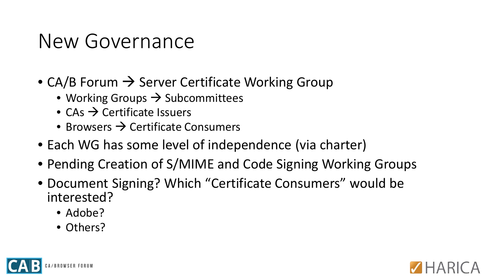#### New Governance

- CA/B Forum  $\rightarrow$  Server Certificate Working Group
	- Working Groups  $\rightarrow$  Subcommittees
	- $CAs \rightarrow$  Certificate Issuers
	- Browsers  $\rightarrow$  Certificate Consumers
- Each WG has some level of independence (via charter)
- Pending Creation of S/MIME and Code Signing Working Groups
- Document Signing? Which "Certificate Consumers" would be interested?
	- Adobe?
	- Others?



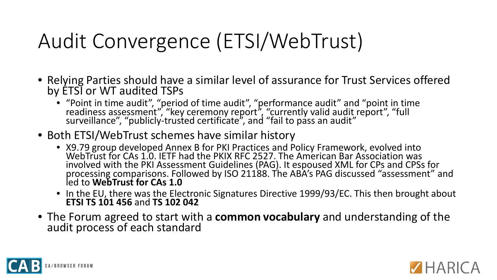# Audit Convergence (ETSI/WebTrust)

- Relying Parties should have a similar level of assurance for Trust Services offered by ETSI or WT audited TSPs
	- "Point in time audit", "period of time audit", "performance audit" and "point in time readiness assessment", "key ceremony report", "currently valid audit report", "full surveillance", "publicly-trusted certificate", and "fail to pass an audit"
- Both ETSI/WebTrust schemes have similar history
	- X9.79 group developed Annex B for PKI Practices and Policy Framework, evolved into WebTrust for CAs 1.0. IETF had the PKIX RFC 2527. The American Bar Association was involved with the PKI Assessment Guidelines (PAG). It espoused XML for CPs and CPSs for processing comparisons. Followed by ISO 21188. The ABA's PAG discussed "assessment" and led to **WebTrust for CAs 1.0**
	- In the EU, there was the Electronic Signatures Directive 1999/93/EC. This then brought about **ETSI TS 101 456** and **TS 102 042**
- The Forum agreed to start with a **common vocabulary** and understanding of the audit process of each standard



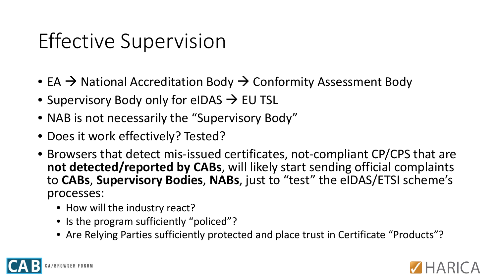## Effective Supervision

- EA  $\rightarrow$  National Accreditation Body  $\rightarrow$  Conformity Assessment Body
- Supervisory Body only for eIDAS  $\rightarrow$  EU TSL
- NAB is not necessarily the "Supervisory Body"
- Does it work effectively? Tested?
- Browsers that detect mis-issued certificates, not-compliant CP/CPS that are **not detected/reported by CABs**, will likely start sending official complaints to **CABs**, **Supervisory Bodies**, **NABs**, just to "test" the eIDAS/ETSI scheme's processes:
	- How will the industry react?
	- Is the program sufficiently "policed"?
	- Are Relying Parties sufficiently protected and place trust in Certificate "Products"?



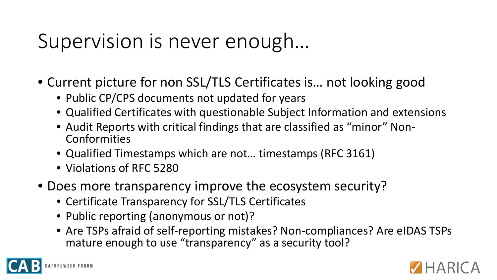### Supervision is never enough…

- Current picture for non SSL/TLS Certificates is… not looking good
	- Public CP/CPS documents not updated for years
	- Qualified Certificates with questionable Subject Information and extensions
	- Audit Reports with critical findings that are classified as "minor" Non- Conformities
	- Qualified Timestamps which are not… timestamps (RFC 3161)
	- Violations of RFC 5280
- Does more transparency improve the ecosystem security?
	- Certificate Transparency for SSL/TLS Certificates
	- Public reporting (anonymous or not)?
	- Are TSPs afraid of self-reporting mistakes? Non-compliances? Are eIDAS TSPs mature enough to use "transparency" as a security tool?